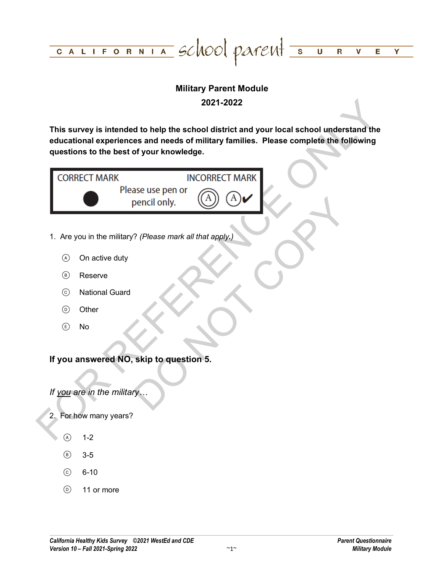

## **Military Parent Module 2021-2022**

**This survey is intended to help the school district and your local school understand the educational experiences and needs of military families. Please complete the following questions to the best of your knowledge.**

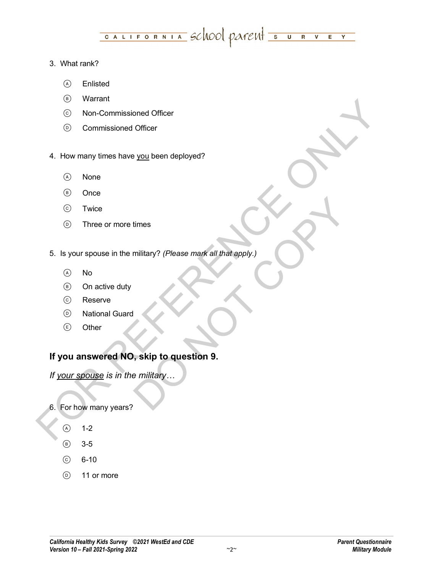#### CALIFORNIA SCNOOL PATENT SURV  $E$  $\overline{Y}$

### 3. What rank?

- Enlisted
- Warrant
- Non-Commissioned Officer
- Commissioned Officer
- 4. How many times have you been deployed?
	- (A) None
	- (B) Once
	- Twice
	- Three or more times
- FOR REFERENCE ONLY times<br>military? (Please mark all that apply.)<br>Solid that apply.)<br>Solid that apply.<br>Thilitary ... 5. Is your spouse in the military? *(Please mark all that apply.)* 
	- $(A)$  No
	- On active duty
	- Reserve
	- National Guard
	- Other

## **If you answered NO, skip to question 9.**

*If your spouse is in the military…*

- 6. For how many years?
	- $(A)$  1-2
	- $(B)$  3-5
	- $6-10$
	- $\circ$  11 or more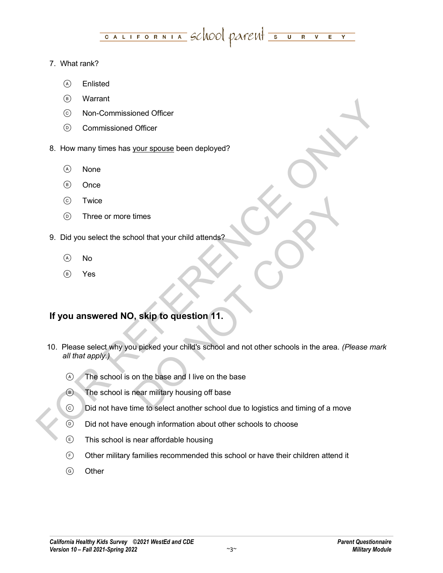#### <u>CALIFORNIA</u> SCHOOL PATENT SUR  $\overline{\mathsf{v}}$  $\overline{E}$  $\overline{\mathbf{Y}}$

### 7. What rank?

- Enlisted
- Warrant
- Non-Commissioned Officer
- Commissioned Officer
- 8. How many times has your spouse been deployed?
	- (A) None
	- (B) Once
	- Twice
	- Three or more times
- 9. Did you select the school that your child attends?
	- $\overline{A}$  No
	- Yes

# **If you answered NO, skip to question 11.**

- or Variant<br>
Although a many times has <u>your spouse</u> been deployed?<br>
Although a many times has <u>your spouse</u> been deployed?<br>
∴<br>
So None<br>
∴<br>
The export of the second that your child attendare<br>
∴<br>
9. Did you asked the schoo times<br>
Sool that your child attends?<br>
<br> **Solution 11.**<br>
<br> **Solution the base and I live on the base<br>
Near military housing off base<br>
The to select another school due to logistics and timing of a move** 10. Please select why you picked your child's school and not other schools in the area. *(Please mark all that apply.)*
	- The school is on the base and I live on the base
	- **B** The school is near military housing off base
	- $\odot$  Did not have time to select another school due to logistics and timing of a move
	- $\odot$  Did not have enough information about other schools to choose
	- This school is near affordable housing
	- $\odot$  Other military families recommended this school or have their children attend it
	- **(G)** Other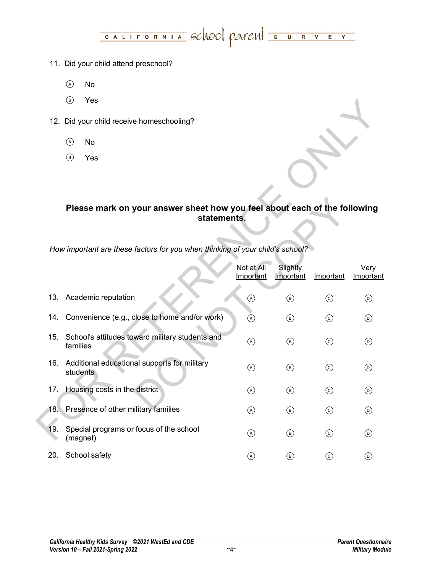# CALIFORNIA SCNOOL PATENT SURVEY

- 11. Did your child attend preschool?
	- $(A)$  No
	- Yes
- 12. Did your child receive homeschooling?
	- No
	- Yes

### **Please mark on your answer sheet how you feel about each of the following statements.**

|                                                                               |                                                                                          | $\circledcirc$<br>Yes                     |                                                  |                |                |            |                 |  |  |  |
|-------------------------------------------------------------------------------|------------------------------------------------------------------------------------------|-------------------------------------------|--------------------------------------------------|----------------|----------------|------------|-----------------|--|--|--|
|                                                                               |                                                                                          | 12. Did your child receive homeschooling? |                                                  |                |                |            |                 |  |  |  |
|                                                                               |                                                                                          | $\odot$<br>No                             |                                                  |                |                |            |                 |  |  |  |
|                                                                               |                                                                                          | $\circledcirc$<br>Yes                     |                                                  |                |                |            |                 |  |  |  |
|                                                                               |                                                                                          |                                           |                                                  |                |                |            |                 |  |  |  |
|                                                                               |                                                                                          |                                           |                                                  |                |                |            |                 |  |  |  |
|                                                                               | Please mark on your answer sheet how you feel about each of the following<br>statements. |                                           |                                                  |                |                |            |                 |  |  |  |
|                                                                               |                                                                                          |                                           |                                                  |                |                |            |                 |  |  |  |
| How important are these factors for you when thinking of your child's school? |                                                                                          |                                           |                                                  |                |                |            |                 |  |  |  |
| Not at All                                                                    |                                                                                          |                                           |                                                  |                | Slightly       |            | Very            |  |  |  |
|                                                                               |                                                                                          |                                           |                                                  | Important      | Important      | Important  | Important       |  |  |  |
|                                                                               | 13.                                                                                      | Academic reputation                       |                                                  | $\circledcirc$ | $\circledcirc$ | $\odot$    | $\odot$         |  |  |  |
|                                                                               | 14.                                                                                      |                                           | Convenience (e.g., close to home and/or work)    | $\circledcirc$ | $\circledcirc$ | $\odot$    | $\odot$         |  |  |  |
|                                                                               | 15.                                                                                      | families                                  | School's attitudes toward military students and  | $\odot$        | $\circledcirc$ | $\odot$    | $\odot$         |  |  |  |
|                                                                               |                                                                                          |                                           | 16. Additional educational supports for military | $\odot$        | $^{\circledR}$ | $\odot$    | $\odot$         |  |  |  |
|                                                                               |                                                                                          | students                                  |                                                  |                |                |            |                 |  |  |  |
|                                                                               | 17.                                                                                      |                                           | Housing costs in the district                    | $\circledcirc$ | $^{\circledR}$ | $_{\odot}$ | $^{\copyright}$ |  |  |  |
|                                                                               |                                                                                          |                                           | 18. Presence of other military families          | $\odot$        | $\circledcirc$ | $\odot$    | $^{\circledR}$  |  |  |  |
|                                                                               | 19.                                                                                      | (magnet)                                  | Special programs or focus of the school          | $\odot$        | $\circledcirc$ | $_{\odot}$ | $\odot$         |  |  |  |
|                                                                               | 20.                                                                                      | School safety                             |                                                  | $\bigcirc$     | $\circledR$    | $\odot$    | $\circledcirc$  |  |  |  |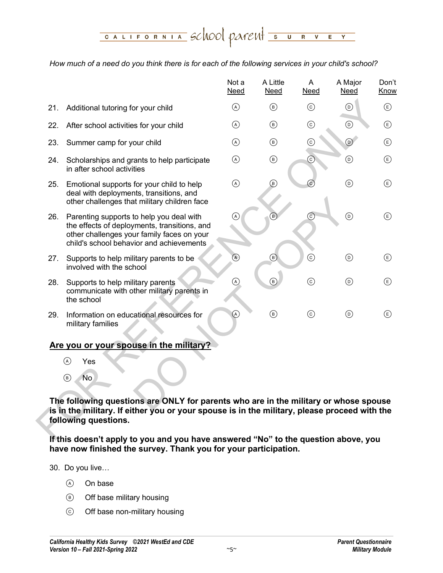<u>CALIFORNIA</u> SCHOOL PATENT SUR  $\overline{\mathsf{v}}$  $\overline{\mathbf{E}}$  $\overline{\mathsf{Y}}$ 

#### *How much of a need do you think there is for each of the following services in your child's school?*

|     |                                                                                                                                                                                                              | Not a<br><b>Need</b> | A Little<br><b>Need</b> | A<br><b>Need</b> | A Major<br><b>Need</b> | Don't<br>Know             |
|-----|--------------------------------------------------------------------------------------------------------------------------------------------------------------------------------------------------------------|----------------------|-------------------------|------------------|------------------------|---------------------------|
| 21. | Additional tutoring for your child                                                                                                                                                                           | $\odot$              | $\circledcirc$          | $\odot$          | $^{\copyright}$        | $\bigcirc$                |
| 22. | After school activities for your child                                                                                                                                                                       | $\odot$              | $\circled{B}$           | $\odot$          | $\odot$                | $\bigcirc$                |
| 23. | Summer camp for your child                                                                                                                                                                                   | $\odot$              | $\circledcirc$          | $_{\odot}$       | $\odot$                | $\circled$                |
| 24. | Scholarships and grants to help participate<br>in after school activities                                                                                                                                    | $\odot$              | $\circledcirc$          | ⊙)               | $\odot$                | $\bigcirc$                |
| 25. | Emotional supports for your child to help<br>deal with deployments, transitions, and<br>other challenges that military children face                                                                         | $\odot$              | $^\circledR$            | $\mathsf{C}$     | $^{\copyright}$        | $\bigcirc$                |
| 26. | Parenting supports to help you deal with<br>the effects of deployments, transitions, and<br>other challenges your family faces on your<br>child's school behavior and achievements                           | ®                    | $\circledR$             | $\odot$          | $\odot$                | $\bigcirc$                |
| 27. | Supports to help military parents to be<br>involved with the school                                                                                                                                          | $\circledA$          | $\circledast$           | $\odot$          | $\odot$                | $\circled$                |
| 28. | Supports to help military parents<br>communicate with other military parents in<br>the school                                                                                                                | $\circledcirc$       | $\circledR$             | $\odot$          | $\circledcirc$         | $\left(\mathsf{E}\right)$ |
| 29. | Information on educational resources for<br>military families                                                                                                                                                | $\circledcirc$       | $\circledcirc$          | $\odot$          | $\circledcirc$         | $\left(\mathsf{E}\right)$ |
|     | Are you or your spouse in the military?                                                                                                                                                                      |                      |                         |                  |                        |                           |
|     | $\odot$<br>Yes                                                                                                                                                                                               |                      |                         |                  |                        |                           |
|     | N <sub>o</sub><br>$\circledcirc$                                                                                                                                                                             |                      |                         |                  |                        |                           |
|     | The following questions are ONLY for parents who are in the military or whose spouse<br>is in the military. If either you or your spouse is in the military, please proceed with the<br>following questions. |                      |                         |                  |                        |                           |
|     | If this doesn't annly to you and you have answered "No" to the question above you                                                                                                                            |                      |                         |                  |                        |                           |

- Yes
- $(B)$  No

**If this doesn't apply to you and you have answered "No" to the question above, you have now finished the survey. Thank you for your participation.**

30. Do you live…

- (A) On base
- Off base military housing
- Off base non-military housing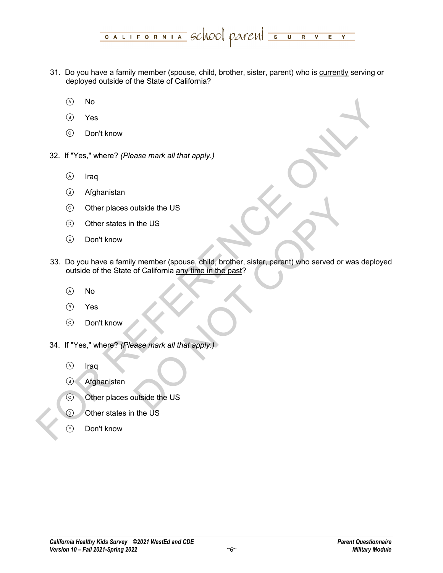- 31. Do you have a family member (spouse, child, brother, sister, parent) who is currently serving or deployed outside of the State of California?
	- No
	- Yes
	- Don't know
- 32. If "Yes," where? *(Please mark all that apply.)*
	- A Iraq
	- Afghanistan
	- Other places outside the US
	- Other states in the US
	- $(E)$  Don't know
- O Yos<br>
The Contribution<br>
S 2: If "Yes," where? (Please mark all that apply.)<br>
∴ O Inter<br>
O Afghanistan<br>
∴ O Other states in the US<br>
© Don't know<br>
33. Do you have a family member (spouse, child, brother, sister, partent) DO NOT COPY 33. Do you have a family member (spouse, child, brother, sister, parent) who served or was deployed outside of the State of California any time in the past?
	- $(A)$  No
	- Yes
	- Don't know
	- 34. If "Yes," where? *(Please mark all that apply.)*
		- A Iraq
		- Afghanistan
		- Other places outside the US
		- $\circ$  Other states in the US
		- $\left(\begin{matrix}E\end{matrix}\right)$  Don't know